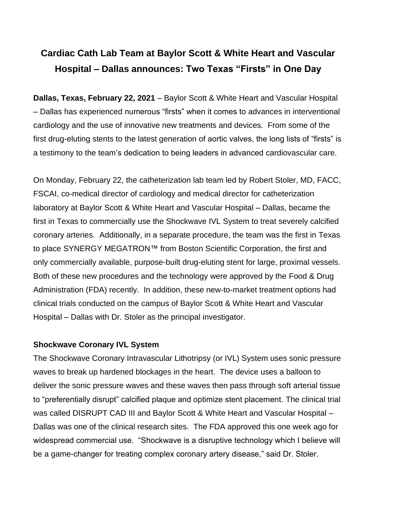# **Cardiac Cath Lab Team at Baylor Scott & White Heart and Vascular Hospital – Dallas announces: Two Texas "Firsts" in One Day**

**Dallas, Texas, February 22, 2021** – Baylor Scott & White Heart and Vascular Hospital – Dallas has experienced numerous "firsts" when it comes to advances in interventional cardiology and the use of innovative new treatments and devices. From some of the first drug-eluting stents to the latest generation of aortic valves, the long lists of "firsts" is a testimony to the team's dedication to being leaders in advanced cardiovascular care.

On Monday, February 22, the catheterization lab team led by Robert Stoler, MD, FACC, FSCAI, co-medical director of cardiology and medical director for catheterization laboratory at Baylor Scott & White Heart and Vascular Hospital – Dallas, became the first in Texas to commercially use the Shockwave IVL System to treat severely calcified coronary arteries. Additionally, in a separate procedure, the team was the first in Texas to place SYNERGY MEGATRON™ from Boston Scientific Corporation, the first and only commercially available, purpose-built drug-eluting stent for large, proximal vessels. Both of these new procedures and the technology were approved by the Food & Drug Administration (FDA) recently. In addition, these new-to-market treatment options had clinical trials conducted on the campus of Baylor Scott & White Heart and Vascular Hospital – Dallas with Dr. Stoler as the principal investigator.

## **Shockwave Coronary IVL System**

The Shockwave Coronary Intravascular Lithotripsy (or IVL) System uses sonic pressure waves to break up hardened blockages in the heart. The device uses a balloon to deliver the sonic pressure waves and these waves then pass through soft arterial tissue to "preferentially disrupt" calcified plaque and optimize stent placement. The clinical trial was called DISRUPT CAD III and Baylor Scott & White Heart and Vascular Hospital – Dallas was one of the clinical research sites. The FDA approved this one week ago for widespread commercial use. "Shockwave is a disruptive technology which I believe will be a game-changer for treating complex coronary artery disease," said Dr. Stoler.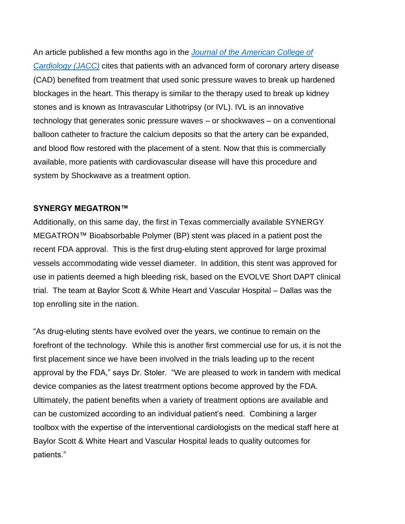An article published a few months ago in the *[Journal of the American College of](https://www.onlinejacc.org/content/early/2020/10/03/j.jacc.2020.09.603)  [Cardiology \(JACC\)](https://www.onlinejacc.org/content/early/2020/10/03/j.jacc.2020.09.603)* cites that patients with an advanced form of coronary artery disease (CAD) benefited from treatment that used sonic pressure waves to break up hardened blockages in the heart. This therapy is similar to the therapy used to break up kidney stones and is known as Intravascular Lithotripsy (or IVL). IVL is an innovative technology that generates sonic pressure waves – or shockwaves – on a conventional balloon catheter to fracture the calcium deposits so that the artery can be expanded, and blood flow restored with the placement of a stent. Now that this is commercially available, more patients with cardiovascular disease will have this procedure and system by Shockwave as a treatment option.

## **SYNERGY MEGATRON™**

Additionally, on this same day, the first in Texas commercially available SYNERGY MEGATRON™ Bioabsorbable Polymer (BP) stent was placed in a patient post the recent FDA approval. This is the first drug-eluting stent approved for large proximal vessels accommodating wide vessel diameter. In addition, this stent was approved for use in patients deemed a high bleeding risk, based on the EVOLVE Short DAPT clinical trial. The team at Baylor Scott & White Heart and Vascular Hospital – Dallas was the top enrolling site in the nation.

"As drug-eluting stents have evolved over the years, we continue to remain on the forefront of the technology. While this is another first commercial use for us, it is not the first placement since we have been involved in the trials leading up to the recent approval by the FDA," says Dr. Stoler. "We are pleased to work in tandem with medical device companies as the latest treatrment options become approved by the FDA. Ultimately, the patient benefits when a variety of treatment options are available and can be customized according to an individual patient's need. Combining a larger toolbox with the expertise of the interventional cardiologists on the medical staff here at Baylor Scott & White Heart and Vascular Hospital leads to quality outcomes for patients."